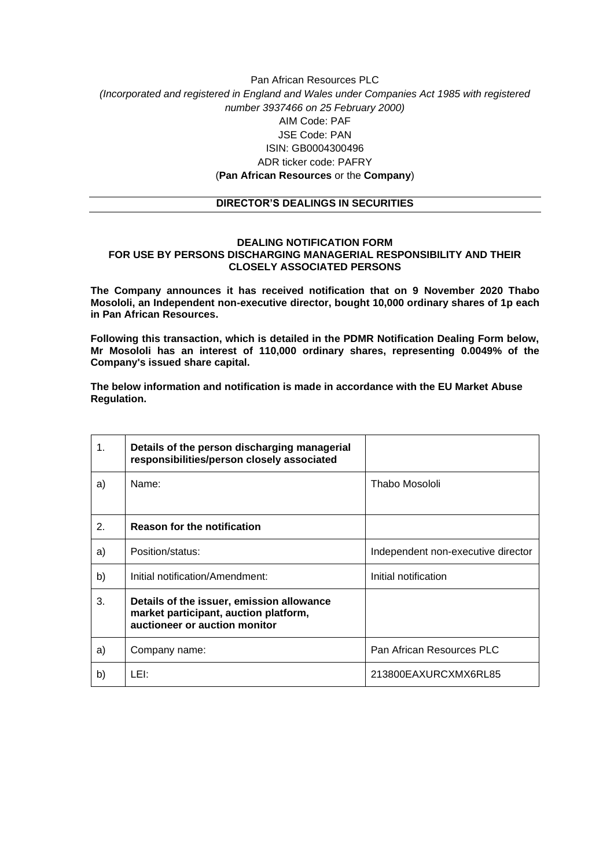## Pan African Resources PLC *(Incorporated and registered in England and Wales under Companies Act 1985 with registered number 3937466 on 25 February 2000)* AIM Code: PAF JSE Code: PAN ISIN: GB0004300496 ADR ticker code: PAFRY (**Pan African Resources** or the **Company**)

## **DIRECTOR'S DEALINGS IN SECURITIES**

## **DEALING NOTIFICATION FORM FOR USE BY PERSONS DISCHARGING MANAGERIAL RESPONSIBILITY AND THEIR CLOSELY ASSOCIATED PERSONS**

**The Company announces it has received notification that on 9 November 2020 Thabo Mosololi, an Independent non-executive director, bought 10,000 ordinary shares of 1p each in Pan African Resources.**

**Following this transaction, which is detailed in the PDMR Notification Dealing Form below, Mr Mosololi has an interest of 110,000 ordinary shares, representing 0.0049% of the Company's issued share capital.**

**The below information and notification is made in accordance with the EU Market Abuse Regulation.**

| 1. | Details of the person discharging managerial<br>responsibilities/person closely associated                          |                                    |
|----|---------------------------------------------------------------------------------------------------------------------|------------------------------------|
| a) | Name:                                                                                                               | Thabo Mosololi                     |
| 2. | <b>Reason for the notification</b>                                                                                  |                                    |
| a) | Position/status:                                                                                                    | Independent non-executive director |
| b) | Initial notification/Amendment:                                                                                     | Initial notification               |
| 3. | Details of the issuer, emission allowance<br>market participant, auction platform,<br>auctioneer or auction monitor |                                    |
| a) | Company name:                                                                                                       | Pan African Resources PLC          |
| b) | LEI:                                                                                                                | 213800EAXURCXMX6RL85               |